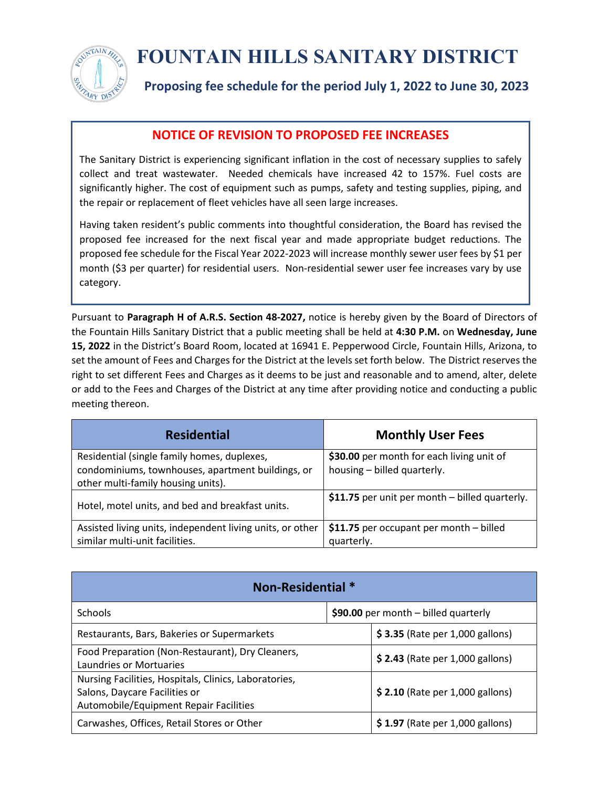

## **FOUNTAIN HILLS SANITARY DISTRICT**

**Proposing fee schedule for the period July 1, 2022 to June 30, 2023**

## **NOTICE OF REVISION TO PROPOSED FEE INCREASES**

The Sanitary District is experiencing significant inflation in the cost of necessary supplies to safely collect and treat wastewater. Needed chemicals have increased 42 to 157%. Fuel costs are significantly higher. The cost of equipment such as pumps, safety and testing supplies, piping, and the repair or replacement of fleet vehicles have all seen large increases.

Having taken resident's public comments into thoughtful consideration, the Board has revised the proposed fee increased for the next fiscal year and made appropriate budget reductions. The proposed fee schedule for the Fiscal Year 2022-2023 will increase monthly sewer user fees by \$1 per month (\$3 per quarter) for residential users. Non-residential sewer user fee increases vary by use category.

Pursuant to **Paragraph H of A.R.S. Section 48-2027,** notice is hereby given by the Board of Directors of the Fountain Hills Sanitary District that a public meeting shall be held at **4:30 P.M.** on **Wednesday, June 15, 2022** in the District's Board Room, located at 16941 E. Pepperwood Circle, Fountain Hills, Arizona, to set the amount of Fees and Charges for the District at the levels set forth below. The District reserves the right to set different Fees and Charges as it deems to be just and reasonable and to amend, alter, delete or add to the Fees and Charges of the District at any time after providing notice and conducting a public meeting thereon.

| <b>Residential</b>                                                                                                                     | <b>Monthly User Fees</b>                                                 |
|----------------------------------------------------------------------------------------------------------------------------------------|--------------------------------------------------------------------------|
| Residential (single family homes, duplexes,<br>condominiums, townhouses, apartment buildings, or<br>other multi-family housing units). | \$30.00 per month for each living unit of<br>housing - billed quarterly. |
| Hotel, motel units, and bed and breakfast units.                                                                                       | \$11.75 per unit per month - billed quarterly.                           |
| Assisted living units, independent living units, or other<br>similar multi-unit facilities.                                            | \$11.75 per occupant per month - billed<br>quarterly.                    |

| <b>Non-Residential *</b>                                                                                                         |                                        |                                 |  |  |
|----------------------------------------------------------------------------------------------------------------------------------|----------------------------------------|---------------------------------|--|--|
| <b>Schools</b>                                                                                                                   | \$90.00 per month $-$ billed quarterly |                                 |  |  |
| Restaurants, Bars, Bakeries or Supermarkets                                                                                      |                                        | \$3.35 (Rate per 1,000 gallons) |  |  |
| Food Preparation (Non-Restaurant), Dry Cleaners,<br>Laundries or Mortuaries                                                      |                                        | \$2.43 (Rate per 1,000 gallons) |  |  |
| Nursing Facilities, Hospitals, Clinics, Laboratories,<br>Salons, Daycare Facilities or<br>Automobile/Equipment Repair Facilities |                                        | \$2.10 (Rate per 1,000 gallons) |  |  |
| Carwashes, Offices, Retail Stores or Other                                                                                       |                                        | \$1.97 (Rate per 1,000 gallons) |  |  |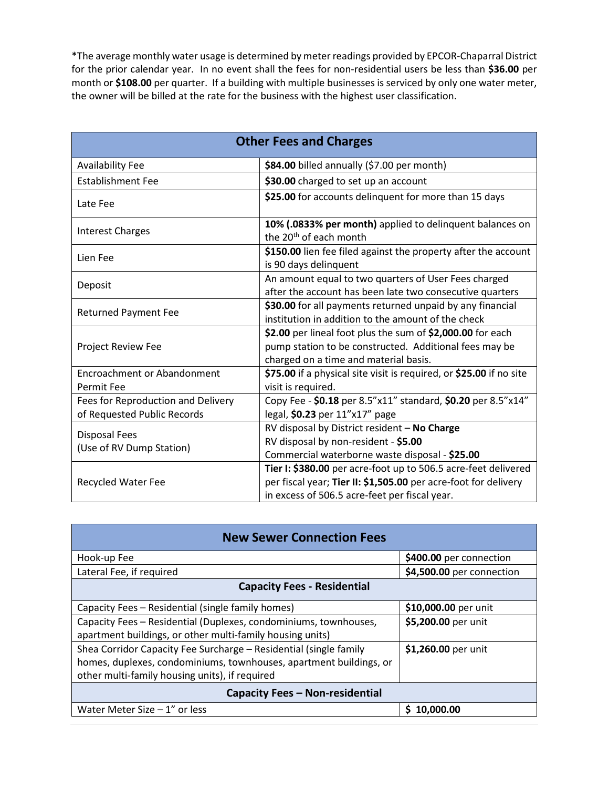\*The average monthly water usage is determined by meter readings provided by EPCOR-Chaparral District for the prior calendar year. In no event shall the fees for non-residential users be less than **\$36.00** per month or **\$108.00** per quarter. If a building with multiple businesses is serviced by only one water meter, the owner will be billed at the rate for the business with the highest user classification.

| <b>Other Fees and Charges</b>                                     |                                                                                                                                                                                    |  |
|-------------------------------------------------------------------|------------------------------------------------------------------------------------------------------------------------------------------------------------------------------------|--|
| <b>Availability Fee</b>                                           | \$84.00 billed annually (\$7.00 per month)                                                                                                                                         |  |
| <b>Establishment Fee</b>                                          | \$30.00 charged to set up an account                                                                                                                                               |  |
| Late Fee                                                          | \$25.00 for accounts delinquent for more than 15 days                                                                                                                              |  |
| <b>Interest Charges</b>                                           | 10% (.0833% per month) applied to delinquent balances on<br>the 20 <sup>th</sup> of each month                                                                                     |  |
| Lien Fee                                                          | \$150.00 lien fee filed against the property after the account<br>is 90 days delinquent                                                                                            |  |
| Deposit                                                           | An amount equal to two quarters of User Fees charged<br>after the account has been late two consecutive quarters                                                                   |  |
| <b>Returned Payment Fee</b>                                       | \$30.00 for all payments returned unpaid by any financial<br>institution in addition to the amount of the check                                                                    |  |
| Project Review Fee                                                | \$2.00 per lineal foot plus the sum of \$2,000.00 for each<br>pump station to be constructed. Additional fees may be<br>charged on a time and material basis.                      |  |
| <b>Encroachment or Abandonment</b><br><b>Permit Fee</b>           | \$75.00 if a physical site visit is required, or \$25.00 if no site<br>visit is required.                                                                                          |  |
| Fees for Reproduction and Delivery<br>of Requested Public Records | Copy Fee - \$0.18 per 8.5"x11" standard, \$0.20 per 8.5"x14"<br>legal, \$0.23 per 11"x17" page                                                                                     |  |
| <b>Disposal Fees</b><br>(Use of RV Dump Station)                  | RV disposal by District resident - No Charge<br>RV disposal by non-resident - \$5.00<br>Commercial waterborne waste disposal - \$25.00                                             |  |
| Recycled Water Fee                                                | Tier I: \$380.00 per acre-foot up to 506.5 acre-feet delivered<br>per fiscal year; Tier II: \$1,505.00 per acre-foot for delivery<br>in excess of 506.5 acre-feet per fiscal year. |  |

| <b>New Sewer Connection Fees</b>                                   |                           |  |
|--------------------------------------------------------------------|---------------------------|--|
| Hook-up Fee                                                        | \$400.00 per connection   |  |
| Lateral Fee, if required                                           | \$4,500.00 per connection |  |
| <b>Capacity Fees - Residential</b>                                 |                           |  |
| Capacity Fees - Residential (single family homes)                  | \$10,000.00 per unit      |  |
| Capacity Fees - Residential (Duplexes, condominiums, townhouses,   | \$5,200.00 per unit       |  |
| apartment buildings, or other multi-family housing units)          |                           |  |
| Shea Corridor Capacity Fee Surcharge - Residential (single family  | \$1,260.00 per unit       |  |
| homes, duplexes, condominiums, townhouses, apartment buildings, or |                           |  |
| other multi-family housing units), if required                     |                           |  |
| Capacity Fees - Non-residential                                    |                           |  |
| Water Meter Size $-1$ " or less                                    | \$10,000.00               |  |